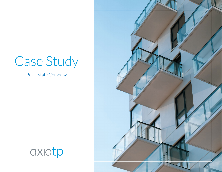# Case Study

Real Estate Company



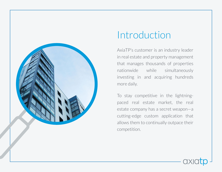

## Introduction

AxiaTP's customer is an industry leader in real estate and property management that manages thousands of properties nationwide while simultaneously investing in and acquiring hundreds more daily.

To stay competitive in the lightningpaced real estate market, the real estate company has a secret weapon—a cutting-edge custom application that allows them to continually outpace their competition.

ОX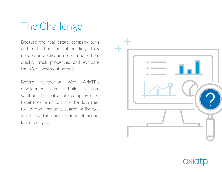## The Challenge

Because the real estate company buys and rents thousands of buildings, they needed an application to can help them quickly track properties and evaluate them for investment potential.

Before partnering with AxiaTP's development team to build a custom solution, the real estate company used Excel Pro-Forma to track the data they found from manually searching listings, which took thousands of hours of manual labor each year.

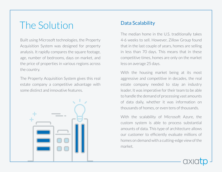## The Solution

Built using Microsoft technologies, the Property Acquisition System was designed for property analysis. It rapidly compares the square footage, age, number of bedrooms, days on market, and the price of properties in various regions across the country.

The Property Acquisition System gives this real estate company a competitive advantage with some distinct and innovative features.



#### Data Scalability

The median home in the U.S. traditionally takes 4-6 weeks to sell. However, Zillow Group found that in the last couple of years, homes are selling in less than 70 days. This means that in these competitive times, homes are only on the market less on average 25 days.

With the housing market being at its most aggressive and competitive in decades, the real estate company needed to stay an industry leader. It was imperative for their team to be able to handle the demand of processing vast amounts of data daily, whether it was information on thousands of homes, or even tens of thousands.

With the scalability of Microsoft Azure, the custom system is able to process substantial amounts of data. This type of architecture allows our customer to efficiently evaluate millions of homes on demand with a cutting-edge view of the market.

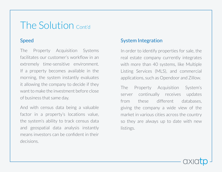#### The Solution Cont'd

The Property Acquisition Systems facilitates our customer's workflow in an extremely time-sensitive environment. If a property becomes available in the morning, the system instantly evaluates it allowing the company to decide if they want to make the investment before close of business that same day.

And with census data being a valuable factor in a property's locations value, the system's ability to track census data and geospatial data analysis instantly means investors can be confident in their decisions.

#### Speed Speed System Integration

In order to identify properties for sale, the real estate company currently integrates with more than 40 systems, like Multiple Listing Services (MLS), and commercial applications, such as Opendoor and Zillow.

The Property Acquisition System's server continually receives updates from these different databases, giving the company a wide view of the market in various cities across the country so they are always up to date with new listings.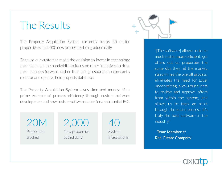#### The Results

The Property Acquisition System currently tracks 20 million properties with 2,000 new properties being added daily.

Because our customer made the decision to invest in technology, their team has the bandwidth to focus on other initiatives to drive their business forward, rather than using resources to constantly monitor and update their property database.

The Property Acquisition System saves time and money. It's a prime example of process efficiency through custom software development and how custom software can offer a substantial ROI.

20M Properties tracked

2,000 New properties added daily

40 System integrations



"[The software] allows us to be much faster, more efficient, get offers out on properties the same day they hit the market, streamlines the overall process, eliminates the need for Excel underwriting, allows our clients to review and approve offers from within the system, and allows us to track an asset through the entire process. It's truly the best software in the industry."

- Team Member at Real Estate Company